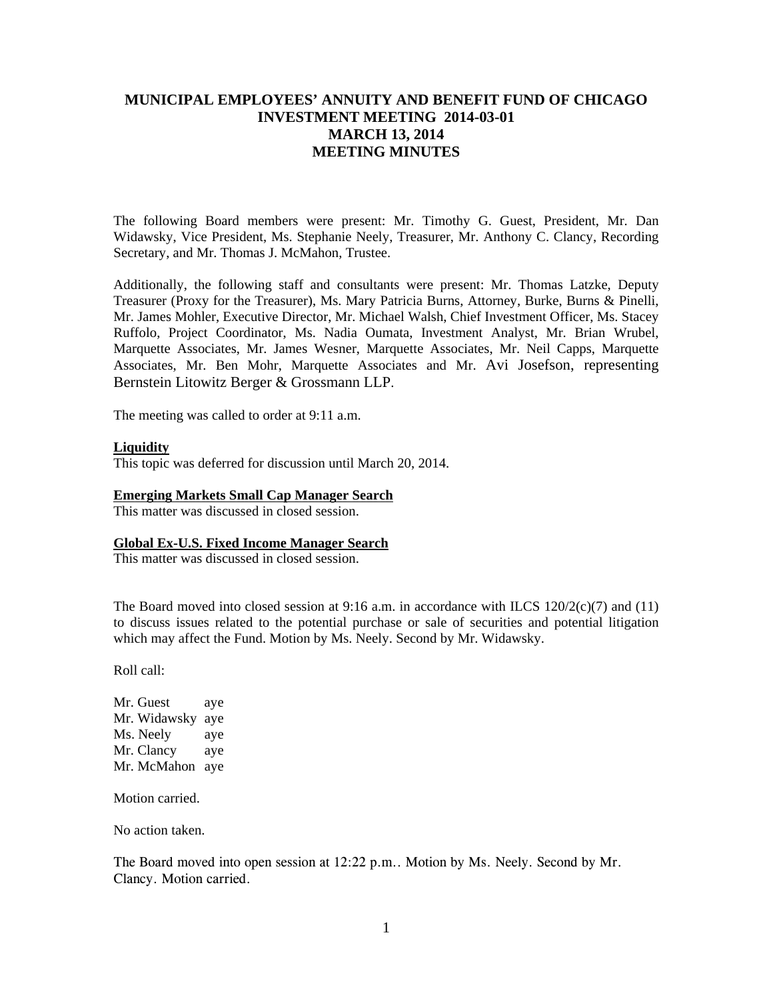## **MUNICIPAL EMPLOYEES' ANNUITY AND BENEFIT FUND OF CHICAGO INVESTMENT MEETING 2014-03-01 MARCH 13, 2014 MEETING MINUTES**

The following Board members were present: Mr. Timothy G. Guest, President, Mr. Dan Widawsky, Vice President, Ms. Stephanie Neely, Treasurer, Mr. Anthony C. Clancy, Recording Secretary, and Mr. Thomas J. McMahon, Trustee.

Additionally, the following staff and consultants were present: Mr. Thomas Latzke, Deputy Treasurer (Proxy for the Treasurer), Ms. Mary Patricia Burns, Attorney, Burke, Burns & Pinelli, Mr. James Mohler, Executive Director, Mr. Michael Walsh, Chief Investment Officer, Ms. Stacey Ruffolo, Project Coordinator, Ms. Nadia Oumata, Investment Analyst, Mr. Brian Wrubel, Marquette Associates, Mr. James Wesner, Marquette Associates, Mr. Neil Capps, Marquette Associates, Mr. Ben Mohr, Marquette Associates and Mr. Avi Josefson, representing Bernstein Litowitz Berger & Grossmann LLP.

The meeting was called to order at 9:11 a.m.

#### **Liquidity**

This topic was deferred for discussion until March 20, 2014.

#### **Emerging Markets Small Cap Manager Search**

This matter was discussed in closed session.

### **Global Ex-U.S. Fixed Income Manager Search**

This matter was discussed in closed session.

The Board moved into closed session at 9:16 a.m. in accordance with ILCS  $120/2(c)(7)$  and  $(11)$ to discuss issues related to the potential purchase or sale of securities and potential litigation which may affect the Fund. Motion by Ms. Neely. Second by Mr. Widawsky.

Roll call:

Mr. Guest ave Mr. Widawsky aye Ms. Neely aye Mr. Clancy aye Mr. McMahon aye

Motion carried.

No action taken.

The Board moved into open session at 12:22 p.m.. Motion by Ms. Neely. Second by Mr. Clancy. Motion carried.